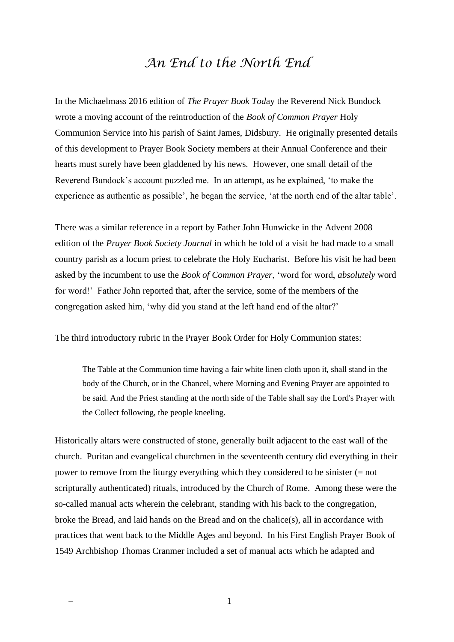## *An End to the North End*

In the Michaelmass 2016 edition of *The Prayer Book Tod*ay the Reverend Nick Bundock wrote a moving account of the reintroduction of the *Book of Common Prayer* Holy Communion Service into his parish of Saint James, Didsbury. He originally presented details of this development to Prayer Book Society members at their Annual Conference and their hearts must surely have been gladdened by his news. However, one small detail of the Reverend Bundock's account puzzled me. In an attempt, as he explained, 'to make the experience as authentic as possible', he began the service, 'at the north end of the altar table'.

There was a similar reference in a report by Father John Hunwicke in the Advent 2008 edition of the *Prayer Book Society Journal* in which he told of a visit he had made to a small country parish as a locum priest to celebrate the Holy Eucharist. Before his visit he had been asked by the incumbent to use the *Book of Common Prayer*, 'word for word, *absolutely* word for word!' Father John reported that, after the service, some of the members of the congregation asked him, 'why did you stand at the left hand end of the altar?'

The third introductory rubric in the Prayer Book Order for Holy Communion states:

The Table at the Communion time having a fair white linen cloth upon it, shall stand in the body of the Church, or in the Chancel, where Morning and Evening Prayer are appointed to be said. And the Priest standing at the north side of the Table shall say the Lord's Prayer with the Collect following, the people kneeling.

Historically altars were constructed of stone, generally built adjacent to the east wall of the church. Puritan and evangelical churchmen in the seventeenth century did everything in their power to remove from the liturgy everything which they considered to be sinister (= not scripturally authenticated) rituals, introduced by the Church of Rome. Among these were the so-called manual acts wherein the celebrant, standing with his back to the congregation, broke the Bread, and laid hands on the Bread and on the chalice(s), all in accordance with practices that went back to the Middle Ages and beyond. In his First English Prayer Book of 1549 Archbishop Thomas Cranmer included a set of manual acts which he adapted and

 $-$  1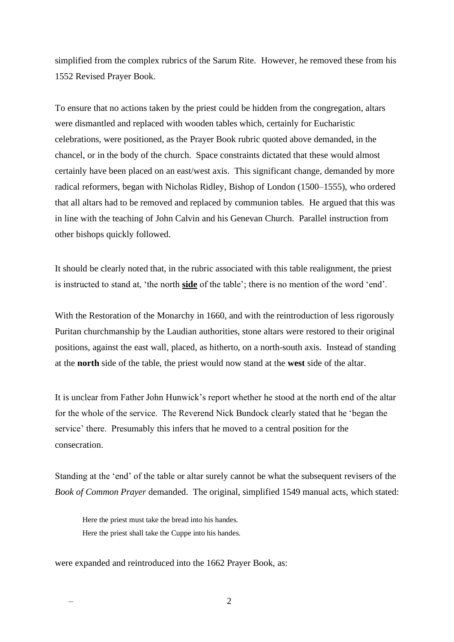simplified from the complex rubrics of the Sarum Rite. However, he removed these from his 1552 Revised Prayer Book.

To ensure that no actions taken by the priest could be hidden from the congregation, altars were dismantled and replaced with wooden tables which, certainly for Eucharistic celebrations, were positioned, as the Prayer Book rubric quoted above demanded, in the chancel, or in the body of the church. Space constraints dictated that these would almost certainly have been placed on an east/west axis. This significant change, demanded by more radical reformers, began with Nicholas Ridley, Bishop of London (1500–1555), who ordered that all altars had to be removed and replaced by communion tables. He argued that this was in line with the teaching of John Calvin and his Genevan Church. Parallel instruction from other bishops quickly followed.

It should be clearly noted that, in the rubric associated with this table realignment, the priest is instructed to stand at, 'the north **side** of the table'; there is no mention of the word 'end'.

With the Restoration of the Monarchy in 1660, and with the reintroduction of less rigorously Puritan churchmanship by the Laudian authorities, stone altars were restored to their original positions, against the east wall, placed, as hitherto, on a north-south axis. Instead of standing at the **north** side of the table, the priest would now stand at the **west** side of the altar.

It is unclear from Father John Hunwick's report whether he stood at the north end of the altar for the whole of the service. The Reverend Nick Bundock clearly stated that he 'began the service' there. Presumably this infers that he moved to a central position for the consecration.

Standing at the 'end' of the table or altar surely cannot be what the subsequent revisers of the *Book of Common Prayer* demanded. The original, simplified 1549 manual acts, which stated:

Here the priest must take the bread into his handes. Here the priest shall take the Cuppe into his handes.

were expanded and reintroduced into the 1662 Prayer Book, as:

 $-$  2